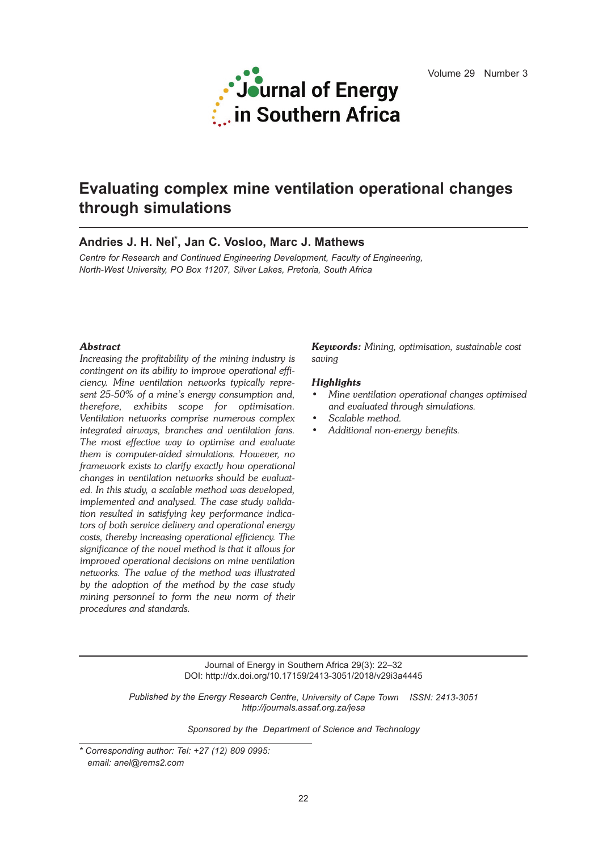

# **Evaluating complex mine ventilation operational changes through simulations**

# **Andries J. H. Nel \* , Jan C. Vosloo, Marc J. Mathews**

*Centre for Research and Continued Engineering Development, Faculty of Engineering, North-West University, PO Box 11207, Silver Lakes, Pretoria, South Africa*

# *Abstract*

*Increasing the profitability of the mining industry is contingent on its ability to improve operational efficiency. Mine ventilation networks typically represent 25-50% of a mine's energy consumption and, therefore, exhibits scope for optimisation. Ventilation networks comprise numerous complex integrated airways, branches and ventilation fans. The most effective way to optimise and evaluate them is computer-aided simulations. However, no framework exists to clarify exactly how operational changes in ventilation networks should be evaluated. In this study, a scalable method was developed, implemented and analysed. The case study validation resulted in satisfying key performance indicators of both service delivery and operational energy costs, thereby increasing operational efficiency. The significance of the novel method is that it allows for improved operational decisions on mine ventilation networks. The value of the method was illustrated by the adoption of the method by the case study mining personnel to form the new norm of their procedures and standards.*

*Keywords: Mining, optimisation, sustainable cost saving*

#### *Highlights*

- *• Mine ventilation operational changes optimised and evaluated through simulations.*
- *• Scalable method.*
- *• Additional non-energy benefits.*

Journal of Energy in Southern Africa 29(3): 22–32 DOI: http://dx.doi.org/10.17159/2413-3051/2018/v29i3a4445

*Published by the Energy Research Centre, University of Cape Town ISSN: 2413-3051 http://journals.assaf.org.za/jesa*

*Sponsored by the Department of Science and Technology*

*<sup>\*</sup> Corresponding author: Tel: +27 (12) 809 0995: email: anel@rems2.com*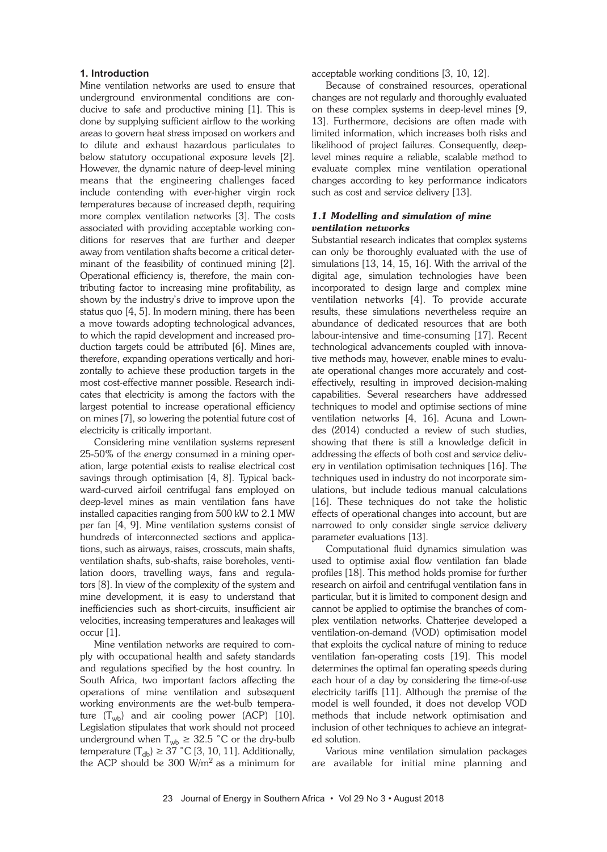# **1. Introduction**

Mine ventilation networks are used to ensure that underground environmental conditions are conducive to safe and productive mining [1]. This is done by supplying sufficient airflow to the working areas to govern heat stress imposed on workers and to dilute and exhaust hazardous particulates to below statutory occupational exposure levels [2]. However, the dynamic nature of deep-level mining means that the engineering challenges faced include contending with ever-higher virgin rock temperatures because of increased depth, requiring more complex ventilation networks [3]. The costs associated with providing acceptable working conditions for reserves that are further and deeper away from ventilation shafts become a critical determinant of the feasibility of continued mining [2]. Operational efficiency is, therefore, the main contributing factor to increasing mine profitability, as shown by the industry's drive to improve upon the status quo [4, 5]. In modern mining, there has been a move towards adopting technological advances, to which the rapid development and increased production targets could be attributed [6]. Mines are, therefore, expanding operations vertically and horizontally to achieve these production targets in the most cost-effective manner possible. Research indicates that electricity is among the factors with the largest potential to increase operational efficiency on mines [7], so lowering the potential future cost of electricity is critically important.

Considering mine ventilation systems represent 25-50% of the energy consumed in a mining operation, large potential exists to realise electrical cost savings through optimisation [4, 8]. Typical backward-curved airfoil centrifugal fans employed on deep-level mines as main ventilation fans have installed capacities ranging from 500 kW to 2.1 MW per fan [4, 9]. Mine ventilation systems consist of hundreds of interconnected sections and applications, such as airways, raises, crosscuts, main shafts, ventilation shafts, sub-shafts, raise boreholes, ventilation doors, travelling ways, fans and regulators [8]. In view of the complexity of the system and mine development, it is easy to understand that inefficiencies such as short-circuits, insufficient air velocities, increasing temperatures and leakages will occur [1].

Mine ventilation networks are required to comply with occupational health and safety standards and regulations specified by the host country. In South Africa, two important factors affecting the operations of mine ventilation and subsequent working environments are the wet-bulb temperature  $(T_{wb})$  and air cooling power (ACP) [10]. Legislation stipulates that work should not proceed underground when  $T_{wb} \geq 32.5$  °C or the dry-bulb temperature  $(T_{db}) \geq 37$  °C [3, 10, 11]. Additionally, the ACP should be 300  $W/m^2$  as a minimum for acceptable working conditions [3, 10, 12].

Because of constrained resources, operational changes are not regularly and thoroughly evaluated on these complex systems in deep-level mines [9, 13]. Furthermore, decisions are often made with limited information, which increases both risks and likelihood of project failures. Consequently, deeplevel mines require a reliable, scalable method to evaluate complex mine ventilation operational changes according to key performance indicators such as cost and service delivery [13].

# *1.1 Modelling and simulation of mine ventilation networks*

Substantial research indicates that complex systems can only be thoroughly evaluated with the use of simulations [13, 14, 15, 16]. With the arrival of the digital age, simulation technologies have been incorporated to design large and complex mine ventilation networks [4]. To provide accurate results, these simulations nevertheless require an abundance of dedicated resources that are both labour-intensive and time-consuming [17]. Recent technological advancements coupled with innovative methods may, however, enable mines to evaluate operational changes more accurately and costeffectively, resulting in improved decision-making capabilities. Several researchers have addressed techniques to model and optimise sections of mine ventilation networks [4, 16]. Acuna and Lowndes (2014) conducted a review of such studies, showing that there is still a knowledge deficit in addressing the effects of both cost and service delivery in ventilation optimisation techniques [16]. The techniques used in industry do not incorporate simulations, but include tedious manual calculations [16]. These techniques do not take the holistic effects of operational changes into account, but are narrowed to only consider single service delivery parameter evaluations [13].

Computational fluid dynamics simulation was used to optimise axial flow ventilation fan blade profiles [18]. This method holds promise for further research on airfoil and centrifugal ventilation fans in particular, but it is limited to component design and cannot be applied to optimise the branches of complex ventilation networks. Chatterjee developed a ventilation-on-demand (VOD) optimisation model that exploits the cyclical nature of mining to reduce ventilation fan-operating costs [19]. This model determines the optimal fan operating speeds during each hour of a day by considering the time-of-use electricity tariffs [11]. Although the premise of the model is well founded, it does not develop VOD methods that include network optimisation and inclusion of other techniques to achieve an integrated solution.

Various mine ventilation simulation packages are available for initial mine planning and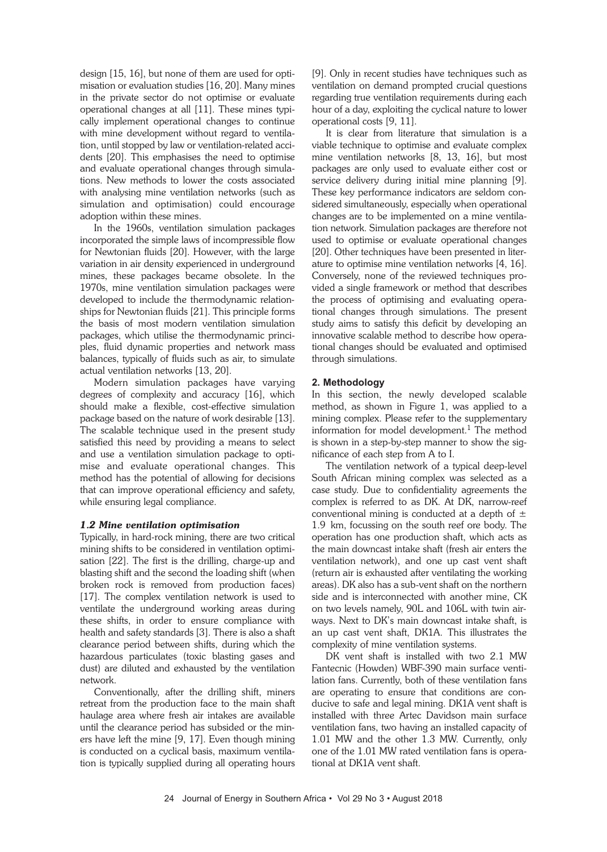design [15, 16], but none of them are used for optimisation or evaluation studies [16, 20]. Many mines in the private sector do not optimise or evaluate operational changes at all [11]. These mines typically implement operational changes to continue with mine development without regard to ventilation, until stopped by law or ventilation-related accidents [20]. This emphasises the need to optimise and evaluate operational changes through simulations. New methods to lower the costs associated with analysing mine ventilation networks (such as simulation and optimisation) could encourage adoption within these mines.

In the 1960s, ventilation simulation packages incorporated the simple laws of incompressible flow for Newtonian fluids [20]. However, with the large variation in air density experienced in underground mines, these packages became obsolete. In the 1970s, mine ventilation simulation packages were developed to include the thermodynamic relationships for Newtonian fluids [21]. This principle forms the basis of most modern ventilation simulation packages, which utilise the thermodynamic principles, fluid dynamic properties and network mass balances, typically of fluids such as air, to simulate actual ventilation networks [13, 20].

Modern simulation packages have varying degrees of complexity and accuracy [16], which should make a flexible, cost-effective simulation package based on the nature of work desirable [13]. The scalable technique used in the present study satisfied this need by providing a means to select and use a ventilation simulation package to optimise and evaluate operational changes. This method has the potential of allowing for decisions that can improve operational efficiency and safety, while ensuring legal compliance.

#### *1.2 Mine ventilation optimisation*

Typically, in hard-rock mining, there are two critical mining shifts to be considered in ventilation optimisation [22]. The first is the drilling, charge-up and blasting shift and the second the loading shift (when broken rock is removed from production faces) [17]. The complex ventilation network is used to ventilate the underground working areas during these shifts, in order to ensure compliance with health and safety standards [3]. There is also a shaft clearance period between shifts, during which the hazardous particulates (toxic blasting gases and dust) are diluted and exhausted by the ventilation network.

Conventionally, after the drilling shift, miners retreat from the production face to the main shaft haulage area where fresh air intakes are available until the clearance period has subsided or the miners have left the mine [9, 17]. Even though mining is conducted on a cyclical basis, maximum ventilation is typically supplied during all operating hours [9]. Only in recent studies have techniques such as ventilation on demand prompted crucial questions regarding true ventilation requirements during each hour of a day, exploiting the cyclical nature to lower operational costs [9, 11].

It is clear from literature that simulation is a viable technique to optimise and evaluate complex mine ventilation networks [8, 13, 16], but most packages are only used to evaluate either cost or service delivery during initial mine planning [9]. These key performance indicators are seldom considered simultaneously, especially when operational changes are to be implemented on a mine ventilation network. Simulation packages are therefore not used to optimise or evaluate operational changes [20]. Other techniques have been presented in literature to optimise mine ventilation networks [4, 16]. Conversely, none of the reviewed techniques provided a single framework or method that describes the process of optimising and evaluating operational changes through simulations. The present study aims to satisfy this deficit by developing an innovative scalable method to describe how operational changes should be evaluated and optimised through simulations.

#### **2. Methodology**

In this section, the newly developed scalable method, as shown in Figure 1, was applied to a mining complex. Please refer to the supplementary information for model development. <sup>1</sup> The method is shown in a step-by-step manner to show the significance of each step from A to I.

The ventilation network of a typical deep-level South African mining complex was selected as a case study. Due to confidentiality agreements the complex is referred to as DK. At DK, narrow-reef conventional mining is conducted at a depth of  $\pm$ 1.9 km, focussing on the south reef ore body. The operation has one production shaft, which acts as the main downcast intake shaft (fresh air enters the ventilation network), and one up cast vent shaft (return air is exhausted after ventilating the working areas). DK also has a sub-vent shaft on the northern side and is interconnected with another mine, CK on two levels namely, 90L and 106L with twin airways. Next to DK's main downcast intake shaft, is an up cast vent shaft, DK1A. This illustrates the complexity of mine ventilation systems.

DK vent shaft is installed with two 2.1 MW Fantecnic (Howden) WBF-390 main surface ventilation fans. Currently, both of these ventilation fans are operating to ensure that conditions are conducive to safe and legal mining. DK1A vent shaft is installed with three Artec Davidson main surface ventilation fans, two having an installed capacity of 1.01 MW and the other 1.3 MW. Currently, only one of the 1.01 MW rated ventilation fans is operational at DK1A vent shaft.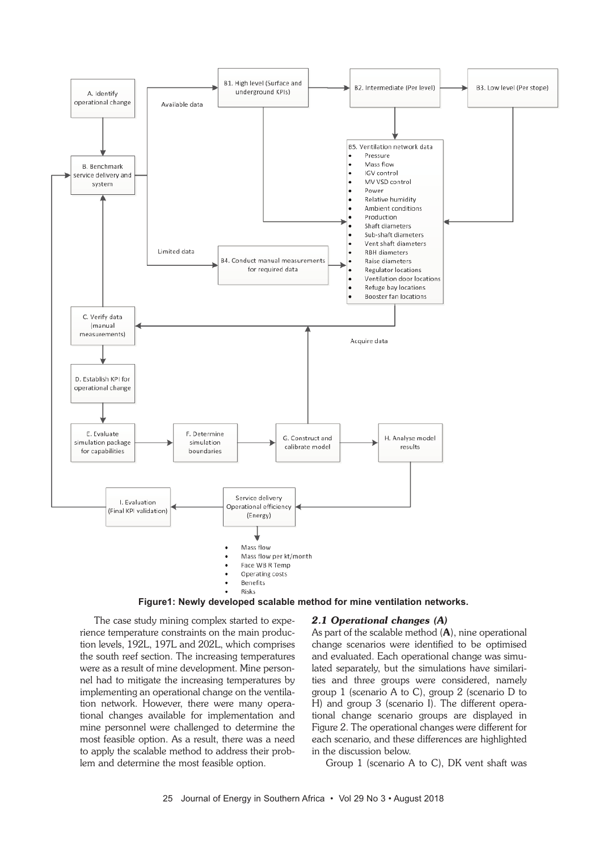



The case study mining complex started to experience temperature constraints on the main production levels, 192L, 197L and 202L, which comprises the south reef section. The increasing temperatures were as a result of mine development. Mine personnel had to mitigate the increasing temperatures by implementing an operational change on the ventilation network. However, there were many operational changes available for implementation and mine personnel were challenged to determine the most feasible option. As a result, there was a need to apply the scalable method to address their problem and determine the most feasible option.

#### *2.1 Operational changes (A)*

As part of the scalable method  $(A)$ , nine operational change scenarios were identified to be optimised and evaluated. Each operational change was simulated separately, but the simulations have similarities and three groups were considered, namely group 1 (scenario A to C), group 2 (scenario D to H) and group 3 (scenario I). The different operational change scenario groups are displayed in Figure 2. The operational changes were different for each scenario, and these differences are highlighted in the discussion below.

Group 1 (scenario A to C), DK vent shaft was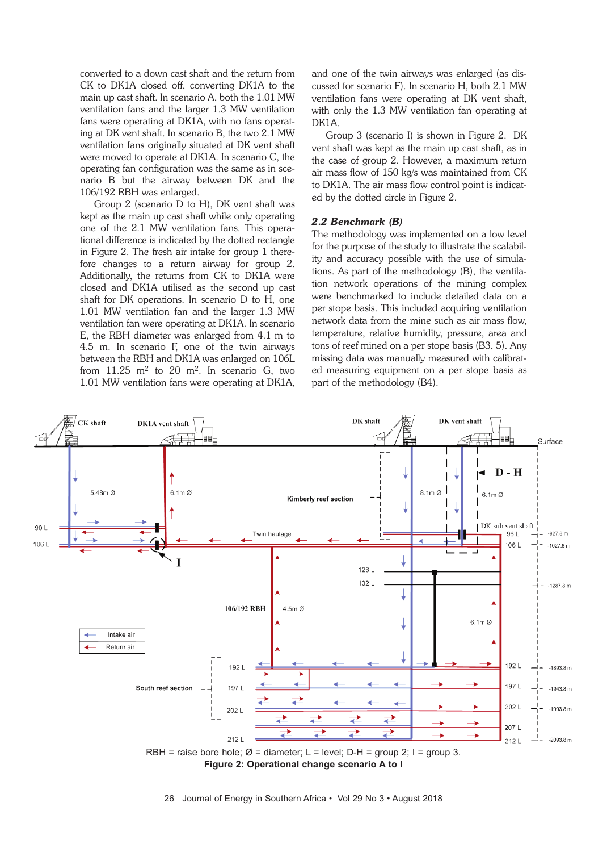converted to a down cast shaft and the return from CK to DK1A closed off, converting DK1A to the main up cast shaft. In scenario A, both the 1.01 MW ventilation fans and the larger 1.3 MW ventilation fans were operating at DK1A, with no fans operating at DK vent shaft. In scenario B, the two 2.1 MW ventilation fans originally situated at DK vent shaft were moved to operate at DK1A. In scenario C, the operating fan configuration was the same as in scenario B but the airway between DK and the 106/192 RBH was enlarged.

Group 2 (scenario D to H), DK vent shaft was kept as the main up cast shaft while only operating one of the 2.1 MW ventilation fans. This operational difference is indicated by the dotted rectangle in Figure 2. The fresh air intake for group 1 therefore changes to a return airway for group 2. Additionally, the returns from CK to DK1A were closed and DK1A utilised as the second up cast shaft for DK operations. In scenario D to H, one 1.01 MW ventilation fan and the larger 1.3 MW ventilation fan were operating at DK1A. In scenario E, the RBH diameter was enlarged from 4.1 m to 4.5 m. In scenario F, one of the twin airways between the RBH and DK1A was enlarged on 106L from  $11.25 \text{ m}^2$  to  $20 \text{ m}^2$ . In scenario G, two 1.01 MW ventilation fans were operating at DK1A, and one of the twin airways was enlarged (as discussed for scenario F). In scenario H, both 2.1 MW ventilation fans were operating at DK vent shaft, with only the 1.3 MW ventilation fan operating at DK1A.

Group 3 (scenario I) is shown in Figure 2. DK vent shaft was kept as the main up cast shaft, as in the case of group 2. However, a maximum return air mass flow of 150 kg/s was maintained from CK to DK1A. The air mass flow control point is indicated by the dotted circle in Figure 2.

# *2.2 Benchmark (B)*

The methodology was implemented on a low level for the purpose of the study to illustrate the scalability and accuracy possible with the use of simulations. As part of the methodology (B), the ventilation network operations of the mining complex were benchmarked to include detailed data on a per stope basis. This included acquiring ventilation network data from the mine such as air mass flow, temperature, relative humidity, pressure, area and tons of reef mined on a per stope basis (B3, 5). Any missing data was manually measured with calibrated measuring equipment on a per stope basis as part of the methodology (B4).



**Figure 2: Operational change scenario A to I**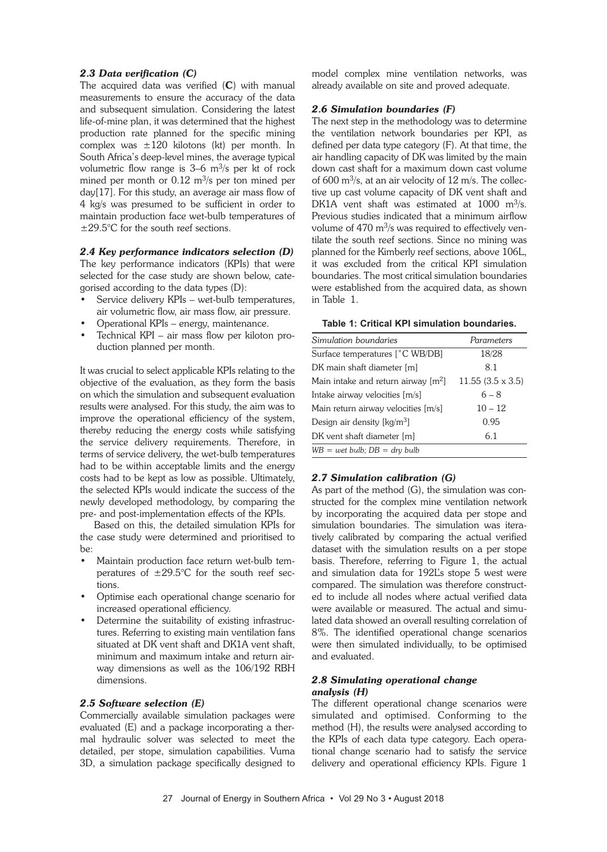# *2.3 Data verification (C)*

The acquired data was verified  $(C)$  with manual measurements to ensure the accuracy of the data and subsequent simulation. Considering the latest life-of-mine plan, it was determined that the highest production rate planned for the specific mining complex was  $\pm 120$  kilotons (kt) per month. In South Africa's deep-level mines, the average typical volumetric flow range is  $3-6$  m<sup>3</sup>/s per kt of rock mined per month or  $0.12 \text{ m}^3\text{/s}$  per ton mined per day[17]. For this study, an average air mass flow of 4 kg/s was presumed to be sufficient in order to maintain production face wet-bulb temperatures of ±29.5°C for the south reef sections.

#### *2.4 Key performance indicators selection (D)*

The key performance indicators (KPIs) that were selected for the case study are shown below, categorised according to the data types (D):

- Service delivery KPIs wet-bulb temperatures, air volumetric flow, air mass flow, air pressure.
- Operational KPIs energy, maintenance.
- Technical KPI air mass flow per kiloton production planned per month.

It was crucial to select applicable KPIs relating to the objective of the evaluation, as they form the basis on which the simulation and subsequent evaluation results were analysed. For this study, the aim was to improve the operational efficiency of the system, thereby reducing the energy costs while satisfying the service delivery requirements. Therefore, in terms of service delivery, the wet-bulb temperatures had to be within acceptable limits and the energy costs had to be kept as low as possible. Ultimately, the selected KPIs would indicate the success of the newly developed methodology, by comparing the pre- and post-implementation effects of the KPIs.

Based on this, the detailed simulation KPIs for the case study were determined and prioritised to be:

- Maintain production face return wet-bulb temperatures of  $\pm 29.5^{\circ}$ C for the south reef sections.
- Optimise each operational change scenario for increased operational efficiency.
- Determine the suitability of existing infrastructures. Referring to existing main ventilation fans situated at DK vent shaft and DK1A vent shaft, minimum and maximum intake and return airway dimensions as well as the 106/192 RBH dimensions.

#### *2.5 Software selection (E)*

Commercially available simulation packages were evaluated (E) and a package incorporating a thermal hydraulic solver was selected to meet the detailed, per stope, simulation capabilities. Vuma 3D, a simulation package specifically designed to model complex mine ventilation networks, was already available on site and proved adequate.

#### *2.6 Simulation boundaries (F)*

The next step in the methodology was to determine the ventilation network boundaries per KPI, as defined per data type category (F). At that time, the air handling capacity of DK was limited by the main down cast shaft for a maximum down cast volume of 600 m<sup>3</sup>/s, at an air velocity of 12 m/s. The collective up cast volume capacity of DK vent shaft and DK1A vent shaft was estimated at  $1000 \, \text{m}^3/\text{s}$ . Previous studies indicated that a minimum airflow volume of  $470 \text{ m}^3\text{/s}$  was required to effectively ventilate the south reef sections. Since no mining was planned for the Kimberly reef sections, above 106L, it was excluded from the critical KPI simulation boundaries. The most critical simulation boundaries were established from the acquired data, as shown in Table 1.

| Table 1: Critical KPI simulation boundaries. |  |
|----------------------------------------------|--|
|----------------------------------------------|--|

| Simulation boundaries                 | Parameters              |
|---------------------------------------|-------------------------|
| Surface temperatures [°C WB/DB]       | 18/28                   |
| DK main shaft diameter [m]            | 8.1                     |
| Main intake and return airway $[m^2]$ | $11.55(3.5 \times 3.5)$ |
| Intake airway velocities [m/s]        | $6 - 8$                 |
| Main return airway velocities [m/s]   | $10 - 12$               |
| Design air density $[kq/m^3]$         | 0.95                    |
| DK vent shaft diameter [m]            | 6.1                     |
| $WB = wet bulb$ ; $DB = dry bulb$     |                         |

# *2.7 Simulation calibration (G)*

As part of the method (G), the simulation was constructed for the complex mine ventilation network by incorporating the acquired data per stope and simulation boundaries. The simulation was iteratively calibrated by comparing the actual verified dataset with the simulation results on a per stope basis. Therefore, referring to Figure 1, the actual and simulation data for 192L's stope 5 west were compared. The simulation was therefore constructed to include all nodes where actual verified data were available or measured. The actual and simulated data showed an overall resulting correlation of 8%. The identified operational change scenarios were then simulated individually, to be optimised and evaluated.

# *2.8 Simulating operational change analysis (H)*

The different operational change scenarios were simulated and optimised. Conforming to the method (H), the results were analysed according to the KPIs of each data type category. Each operational change scenario had to satisfy the service delivery and operational efficiency KPIs. Figure 1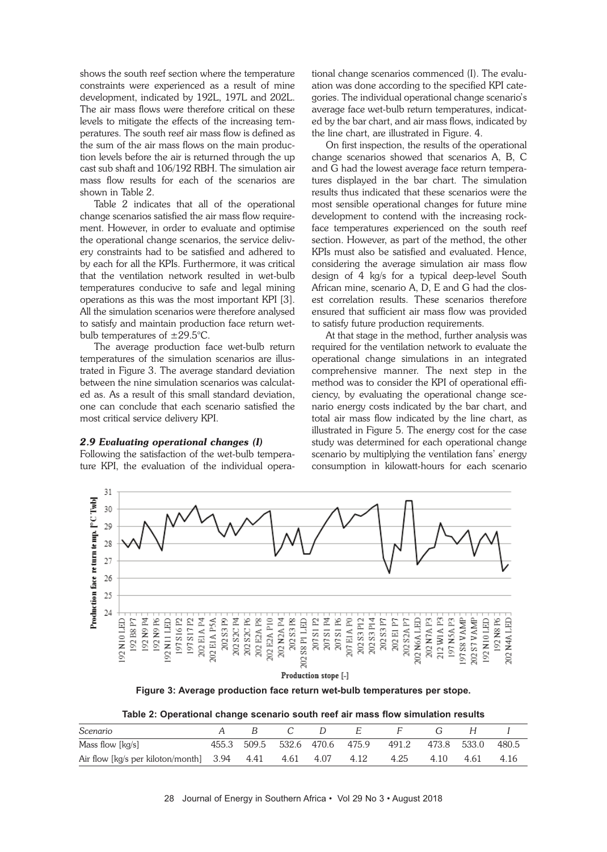shows the south reef section where the temperature constraints were experienced as a result of mine development, indicated by 192L, 197L and 202L. The air mass flows were therefore critical on these levels to mitigate the effects of the increasing temperatures. The south reef air mass flow is defined as the sum of the air mass flows on the main production levels before the air is returned through the up cast sub shaft and 106/192 RBH. The simulation air mass flow results for each of the scenarios are shown in Table 2.

Table 2 indicates that all of the operational change scenarios satisfied the air mass flow requirement. However, in order to evaluate and optimise the operational change scenarios, the service delivery constraints had to be satisfied and adhered to by each for all the KPIs. Furthermore, it was critical that the ventilation network resulted in wet-bulb temperatures conducive to safe and legal mining operations as this was the most important KPI [3]. All the simulation scenarios were therefore analysed to satisfy and maintain production face return wetbulb temperatures of ±29.5°C.

The average production face wet-bulb return temperatures of the simulation scenarios are illustrated in Figure 3. The average standard deviation between the nine simulation scenarios was calculated as. As a result of this small standard deviation, one can conclude that each scenario satisfied the most critical service delivery KPI.

#### *2.9 Evaluating operational changes (I)*

Following the satisfaction of the wet-bulb temperature KPI, the evaluation of the individual operational change scenarios commenced (I). The evaluation was done according to the specified KPI categories. The individual operational change scenario's average face wet-bulb return temperatures, indicated by the bar chart, and air mass flows, indicated by the line chart, are illustrated in Figure. 4.

On first inspection, the results of the operational change scenarios showed that scenarios A, B, C and G had the lowest average face return temperatures displayed in the bar chart. The simulation results thus indicated that these scenarios were the most sensible operational changes for future mine development to contend with the increasing rockface temperatures experienced on the south reef section. However, as part of the method, the other KPIs must also be satisfied and evaluated. Hence, considering the average simulation air mass flow design of 4 kg/s for a typical deep-level South African mine, scenario A, D, E and G had the closest correlation results. These scenarios therefore ensured that sufficient air mass flow was provided to satisfy future production requirements.

At that stage in the method, further analysis was required for the ventilation network to evaluate the operational change simulations in an integrated comprehensive manner. The next step in the method was to consider the KPI of operational efficiency, by evaluating the operational change scenario energy costs indicated by the bar chart, and total air mass flow indicated by the line chart, as illustrated in Figure 5. The energy cost for the case study was determined for each operational change scenario by multiplying the ventilation fans' energy consumption in kilowatt-hours for each scenario



**Figure 3: Average production face return wet-bulb temperatures per stope.**

**Table 2: Operational change scenario south reef air mass flow simulation results**

| Scenario                                                   |  |  |                                                       |                | H |      |
|------------------------------------------------------------|--|--|-------------------------------------------------------|----------------|---|------|
| Mass flow $[kq/s]$                                         |  |  | 455.3 509.5 532.6 470.6 475.9 491.2 473.8 533.0 480.5 |                |   |      |
| Air flow [kg/s per kiloton/month] 3.94 4.41 4.61 4.07 4.12 |  |  |                                                       | 4.25 4.10 4.61 |   | 4.16 |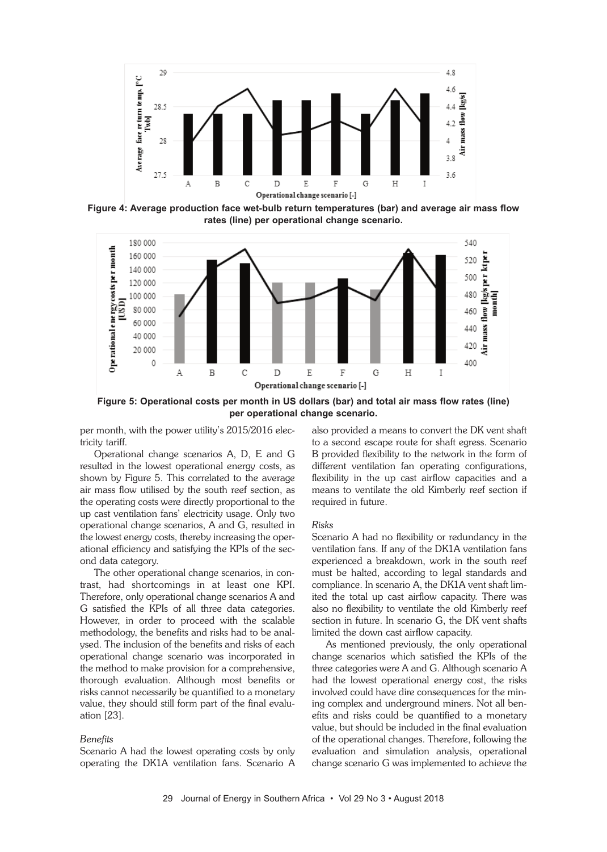

**Figure 4: Average production face wet-bulb return temperatures (bar) and average air mass flow rates (line) per operational change scenario.**



**Figure 5: Operational costs per month in US dollars (bar) and total air mass flow rates (line) per operational change scenario.**

per month, with the power utility's 2015/2016 electricity tariff.

Operational change scenarios A, D, E and G resulted in the lowest operational energy costs, as shown by Figure 5. This correlated to the average air mass flow utilised by the south reef section, as the operating costs were directly proportional to the up cast ventilation fans' electricity usage. Only two operational change scenarios, A and G, resulted in the lowest energy costs, thereby increasing the operational efficiency and satisfying the KPIs of the second data category.

The other operational change scenarios, in contrast, had shortcomings in at least one KPI. Therefore, only operational change scenarios A and G satisfied the KPIs of all three data categories. However, in order to proceed with the scalable methodology, the benefits and risks had to be analysed. The inclusion of the benefits and risks of each operational change scenario was incorporated in the method to make provision for a comprehensive, thorough evaluation. Although most benefits or risks cannot necessarily be quantified to a monetary value, they should still form part of the final evaluation [23].

#### *Benefits*

Scenario A had the lowest operating costs by only operating the DK1A ventilation fans. Scenario A

also provided a means to convert the DK vent shaft to a second escape route for shaft egress. Scenario B provided flexibility to the network in the form of different ventilation fan operating configurations, flexibility in the up cast airflow capacities and a means to ventilate the old Kimberly reef section if required in future.

#### *Risks*

Scenario A had no flexibility or redundancy in the ventilation fans. If any of the DK1A ventilation fans experienced a breakdown, work in the south reef must be halted, according to legal standards and compliance. In scenario A, the DK1A vent shaft limited the total up cast airflow capacity. There was also no flexibility to ventilate the old Kimberly reef section in future. In scenario G, the DK vent shafts limited the down cast airflow capacity.

As mentioned previously, the only operational change scenarios which satisfied the KPIs of the three categories were A and G. Although scenario A had the lowest operational energy cost, the risks involved could have dire consequences for the mining complex and underground miners. Not all benefits and risks could be quantified to a monetary value, but should be included in the final evaluation of the operational changes. Therefore, following the evaluation and simulation analysis, operational change scenario G was implemented to achieve the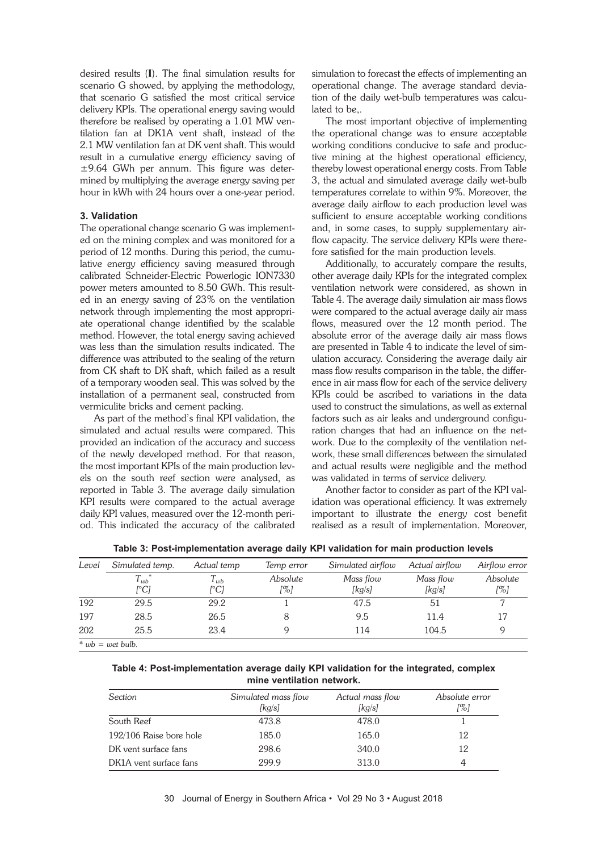desired results (I). The final simulation results for scenario G showed, by applying the methodology, that scenario G satisfied the most critical service delivery KPIs. The operational energy saving would therefore be realised by operating a 1.01 MW ventilation fan at DK1A vent shaft, instead of the 2.1 MW ventilation fan at DK vent shaft. This would result in a cumulative energy efficiency saving of ±9.64 GWh per annum. This figure was determined by multiplying the average energy saving per hour in kWh with 24 hours over a one-year period.

# **3. Validation**

The operational change scenario G was implemented on the mining complex and was monitored for a period of 12 months. During this period, the cumulative energy efficiency saving measured through calibrated Schneider-Electric Powerlogic ION7330 power meters amounted to 8.50 GWh. This resulted in an energy saving of 23% on the ventilation network through implementing the most appropriate operational change identified by the scalable method. However, the total energy saving achieved was less than the simulation results indicated. The difference was attributed to the sealing of the return from CK shaft to DK shaft, which failed as a result of a temporary wooden seal. This was solved by the installation of a permanent seal, constructed from vermiculite bricks and cement packing.

As part of the method's final KPI validation, the simulated and actual results were compared. This provided an indication of the accuracy and success of the newly developed method. For that reason, the most important KPIs of the main production levels on the south reef section were analysed, as reported in Table 3. The average daily simulation KPI results were compared to the actual average daily KPI values, measured over the 12-month period. This indicated the accuracy of the calibrated

simulation to forecast the effects of implementing an operational change. The average standard deviation of the daily wet-bulb temperatures was calculated to be,.

The most important objective of implementing the operational change was to ensure acceptable working conditions conducive to safe and productive mining at the highest operational efficiency, thereby lowest operational energy costs. From Table 3, the actual and simulated average daily wet-bulb temperatures correlate to within 9%. Moreover, the average daily airflow to each production level was sufficient to ensure acceptable working conditions and, in some cases, to supply supplementary airflow capacity. The service delivery KPIs were therefore satisfied for the main production levels.

Additionally, to accurately compare the results, other average daily KPIs for the integrated complex ventilation network were considered, as shown in Table 4. The average daily simulation air mass flows were compared to the actual average daily air mass flows, measured over the 12 month period. The absolute error of the average daily air mass flows are presented in Table 4 to indicate the level of simulation accuracy. Considering the average daily air mass flow results comparison in the table, the difference in air mass flow for each of the service delivery KPIs could be ascribed to variations in the data used to construct the simulations, as well as external factors such as air leaks and underground configuration changes that had an influence on the network. Due to the complexity of the ventilation network, these small differences between the simulated and actual results were negligible and the method was validated in terms of service delivery.

Another factor to consider as part of the KPI validation was operational efficiency. It was extremely important to illustrate the energy cost benefit realised as a result of implementation. Moreover,

| Level | Simulated temp.                                             | Actual temp | Temp error | Simulated airflow | Actual airflow | Airflow error |
|-------|-------------------------------------------------------------|-------------|------------|-------------------|----------------|---------------|
|       | $T_{wb}^{\phantom{\dag}}$                                   | $l_{wb}$    | Absolute   | Mass flow         | Mass flow      | Absolute      |
|       | [°C]                                                        | [°C]        | [%]        | [kg/s]            | [kg/s]         | [%]           |
| 192   | 29.5                                                        | 29.2        |            | 47.5              | 51             |               |
| 197   | 28.5                                                        | 26.5        |            | 9.5               | 11.4           | 17            |
| 202   | 25.5                                                        | 23.4        | g          | 114               | 104.5          |               |
|       | $* \cdot \cdot \cdot h = \cdot \cdot \cdot h \cdot \cdot h$ |             |            |                   |                |               |

**Table 3: Post-implementation average daily KPI validation for main production levels**

 $wb = wet$  *bulb.* 

**Table 4: Post-implementation average daily KPI validation for the integrated, complex mine ventilation network.**

| Section                 | Simulated mass flow<br>[kg/s] | Actual mass flow<br>[kg/s] | Absolute error<br>[%] |
|-------------------------|-------------------------------|----------------------------|-----------------------|
| South Reef              | 473.8                         | 478.0                      |                       |
| 192/106 Raise bore hole | 185.0                         | 165.0                      | 12                    |
| DK vent surface fans    | 298.6                         | 340.0                      | 12                    |
| DK1A vent surface fans  | 299.9                         | 313.0                      | 4                     |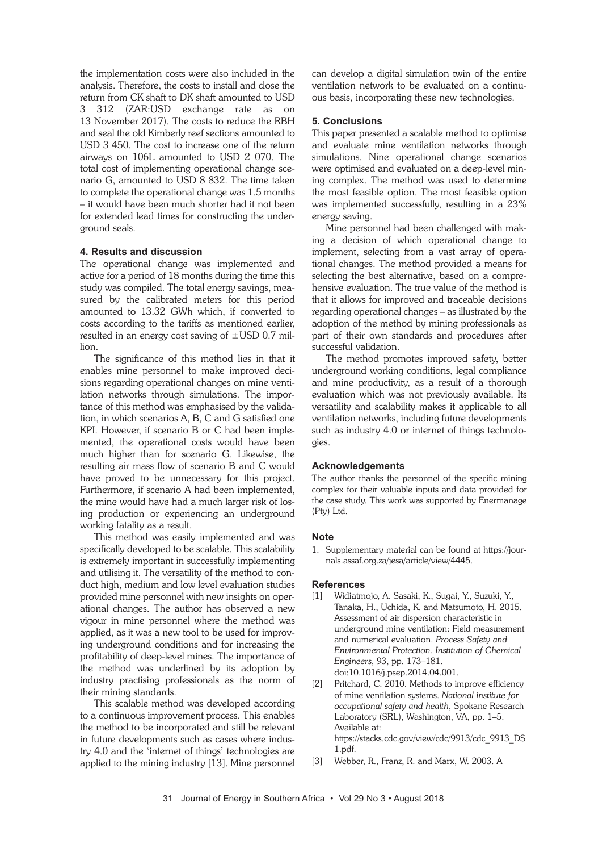the implementation costs were also included in the analysis. Therefore, the costs to install and close the return from CK shaft to DK shaft amounted to USD 3 312 (ZAR:USD exchange rate as on 13 November 2017). The costs to reduce the RBH and seal the old Kimberly reef sections amounted to USD 3 450. The cost to increase one of the return airways on 106L amounted to USD 2 070. The total cost of implementing operational change scenario G, amounted to USD 8 832. The time taken to complete the operational change was 1.5 months – it would have been much shorter had it not been for extended lead times for constructing the underground seals.

#### **4. Results and discussion**

The operational change was implemented and active for a period of 18 months during the time this study was compiled. The total energy savings, measured by the calibrated meters for this period amounted to 13.32 GWh which, if converted to costs according to the tariffs as mentioned earlier, resulted in an energy cost saving of  $\pm$ USD 0.7 million.

The significance of this method lies in that it enables mine personnel to make improved decisions regarding operational changes on mine ventilation networks through simulations. The importance of this method was emphasised by the validation, in which scenarios A, B, C and G satisfied one KPI. However, if scenario B or C had been implemented, the operational costs would have been much higher than for scenario G. Likewise, the resulting air mass flow of scenario B and C would have proved to be unnecessary for this project. Furthermore, if scenario A had been implemented, the mine would have had a much larger risk of losing production or experiencing an underground working fatality as a result.

This method was easily implemented and was specifically developed to be scalable. This scalability is extremely important in successfully implementing and utilising it. The versatility of the method to conduct high, medium and low level evaluation studies provided mine personnel with new insights on operational changes. The author has observed a new vigour in mine personnel where the method was applied, as it was a new tool to be used for improving underground conditions and for increasing the profitability of deep-level mines. The importance of the method was underlined by its adoption by industry practising professionals as the norm of their mining standards.

This scalable method was developed according to a continuous improvement process. This enables the method to be incorporated and still be relevant in future developments such as cases where industry 4.0 and the 'internet of things' technologies are applied to the mining industry [13]. Mine personnel

can develop a digital simulation twin of the entire ventilation network to be evaluated on a continuous basis, incorporating these new technologies.

#### **5. Conclusions**

This paper presented a scalable method to optimise and evaluate mine ventilation networks through simulations. Nine operational change scenarios were optimised and evaluated on a deep-level mining complex. The method was used to determine the most feasible option. The most feasible option was implemented successfully, resulting in a 23% energy saving.

Mine personnel had been challenged with making a decision of which operational change to implement, selecting from a vast array of operational changes. The method provided a means for selecting the best alternative, based on a comprehensive evaluation. The true value of the method is that it allows for improved and traceable decisions regarding operational changes – as illustrated by the adoption of the method by mining professionals as part of their own standards and procedures after successful validation.

The method promotes improved safety, better underground working conditions, legal compliance and mine productivity, as a result of a thorough evaluation which was not previously available. Its versatility and scalability makes it applicable to all ventilation networks, including future developments such as industry 4.0 or internet of things technologies.

#### **Acknowledgements**

The author thanks the personnel of the specific mining complex for their valuable inputs and data provided for the case study. This work was supported by Enermanage (Pty) Ltd.

# **Note**

1. Supplementary material can be found at https://journals.assaf.org.za/jesa/article/view/4445.

#### **References**

- [1] Widiatmojo, A. Sasaki, K., Sugai, Y., Suzuki, Y., Tanaka, H., Uchida, K. and Matsumoto, H. 2015. Assessment of air dispersion characteristic in underground mine ventilation: Field measurement and numerical evaluation. *Process Safety and Environmental Protection. Institution of Chemical Engineers*, 93, pp. 173–181. doi:10.1016/j.psep.2014.04.001.
- Pritchard, C. 2010. Methods to improve efficiency of mine ventilation systems. *National institute for occupational safety and health*, Spokane Research Laboratory (SRL), Washington, VA, pp. 1–5. Available at: https://stacks.cdc.gov/view/cdc/9913/cdc\_9913\_DS 1.pdf.
- [3] Webber, R., Franz, R. and Marx, W. 2003. A